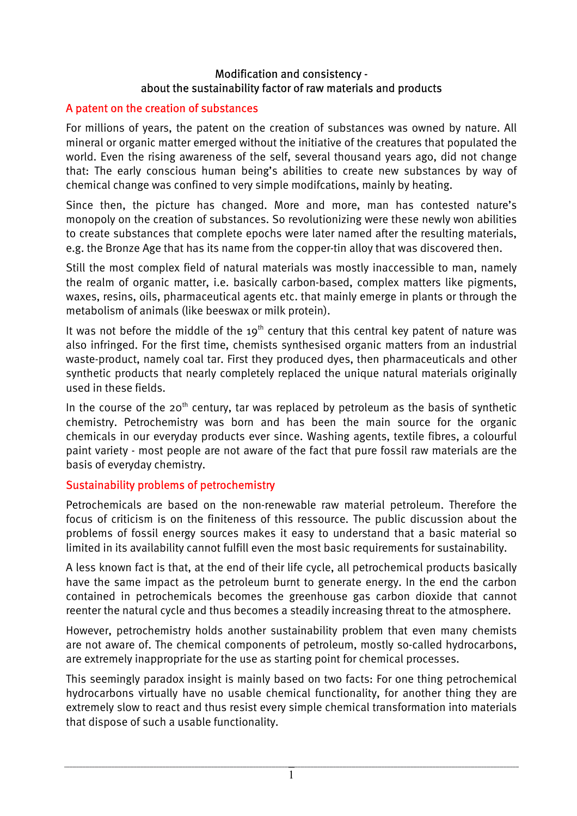### Modification and consistency about the sustainability factor of raw materials and products

## A patent on the creation of substances

For millions of years, the patent on the creation of substances was owned by nature. All mineral or organic matter emerged without the initiative of the creatures that populated the world. Even the rising awareness of the self, several thousand years ago, did not change that: The early conscious human being's abilities to create new substances by way of chemical change was confined to very simple modifcations, mainly by heating.

Since then, the picture has changed. More and more, man has contested nature's monopoly on the creation of substances. So revolutionizing were these newly won abilities to create substances that complete epochs were later named after the resulting materials, e.g. the Bronze Age that has its name from the copper-tin alloy that was discovered then.

Still the most complex field of natural materials was mostly inaccessible to man, namely the realm of organic matter, i.e. basically carbon-based, complex matters like pigments, waxes, resins, oils, pharmaceutical agents etc. that mainly emerge in plants or through the metabolism of animals (like beeswax or milk protein).

It was not before the middle of the 19<sup>th</sup> century that this central key patent of nature was also infringed. For the first time, chemists synthesised organic matters from an industrial waste-product, namely coal tar. First they produced dyes, then pharmaceuticals and other synthetic products that nearly completely replaced the unique natural materials originally used in these fields.

In the course of the 20<sup>th</sup> century, tar was replaced by petroleum as the basis of synthetic chemistry. Petrochemistry was born and has been the main source for the organic chemicals in our everyday products ever since. Washing agents, textile fibres, a colourful paint variety - most people are not aware of the fact that pure fossil raw materials are the basis of everyday chemistry.

## Sustainability problems of petrochemistry

Petrochemicals are based on the non-renewable raw material petroleum. Therefore the focus of criticism is on the finiteness of this ressource. The public discussion about the problems of fossil energy sources makes it easy to understand that a basic material so limited in its availability cannot fulfill even the most basic requirements for sustainability.

A less known fact is that, at the end of their life cycle, all petrochemical products basically have the same impact as the petroleum burnt to generate energy. In the end the carbon contained in petrochemicals becomes the greenhouse gas carbon dioxide that cannot reenter the natural cycle and thus becomes a steadily increasing threat to the atmosphere.

However, petrochemistry holds another sustainability problem that even many chemists are not aware of. The chemical components of petroleum, mostly so-called hydrocarbons, are extremely inappropriate for the use as starting point for chemical processes.

This seemingly paradox insight is mainly based on two facts: For one thing petrochemical hydrocarbons virtually have no usable chemical functionality, for another thing they are extremely slow to react and thus resist every simple chemical transformation into materials that dispose of such a usable functionality.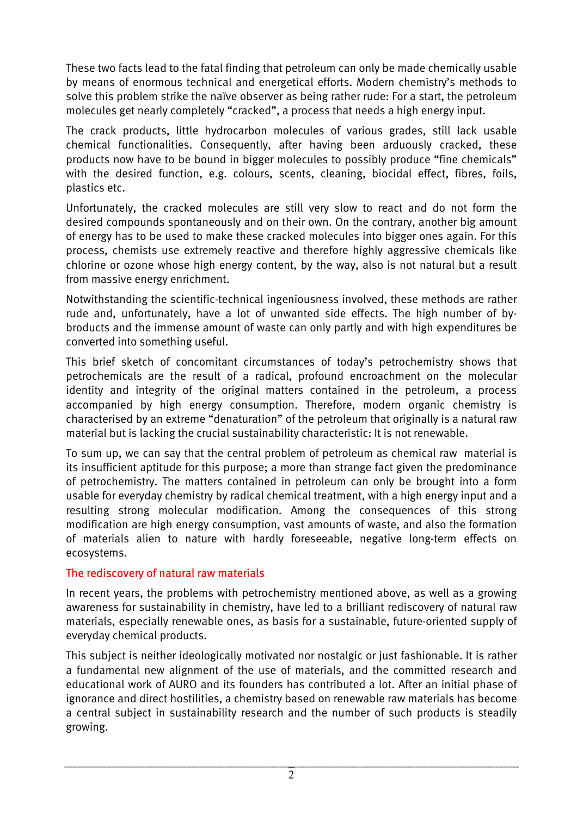These two facts lead to the fatal finding that petroleum can only be made chemically usable by means of enormous technical and energetical efforts. Modern chemistry's methods to solve this problem strike the naïve observer as being rather rude: For a start, the petroleum molecules get nearly completely "cracked", a process that needs a high energy input.

The crack products, little hydrocarbon molecules of various grades, still lack usable chemical functionalities. Consequently, after having been arduously cracked, these products now have to be bound in bigger molecules to possibly produce "fine chemicals" with the desired function, e.g. colours, scents, cleaning, biocidal effect, fibres, foils, plastics etc.

Unfortunately, the cracked molecules are still very slow to react and do not form the desired compounds spontaneously and on their own. On the contrary, another big amount of energy has to be used to make these cracked molecules into bigger ones again. For this process, chemists use extremely reactive and therefore highly aggressive chemicals like chlorine or ozone whose high energy content, by the way, also is not natural but a result from massive energy enrichment.

Notwithstanding the scientific-technical ingeniousness involved, these methods are rather rude and, unfortunately, have a lot of unwanted side effects. The high number of bybroducts and the immense amount of waste can only partly and with high expenditures be converted into something useful.

This brief sketch of concomitant circumstances of today's petrochemistry shows that petrochemicals are the result of a radical, profound encroachment on the molecular identity and integrity of the original matters contained in the petroleum, a process accompanied by high energy consumption. Therefore, modern organic chemistry is characterised by an extreme "denaturation" of the petroleum that originally is a natural raw material but is lacking the crucial sustainability characteristic: It is not renewable.

To sum up, we can say that the central problem of petroleum as chemical raw material is its insufficient aptitude for this purpose; a more than strange fact given the predominance of petrochemistry. The matters contained in petroleum can only be brought into a form usable for everyday chemistry by radical chemical treatment, with a high energy input and a resulting strong molecular modification. Among the consequences of this strong modification are high energy consumption, vast amounts of waste, and also the formation of materials alien to nature with hardly foreseeable, negative long-term effects on ecosystems.

## The rediscovery of natural raw materials

In recent years, the problems with petrochemistry mentioned above, as well as a growing awareness for sustainability in chemistry, have led to a brilliant rediscovery of natural raw materials, especially renewable ones, as basis for a sustainable, future-oriented supply of everyday chemical products.

This subject is neither ideologically motivated nor nostalgic or just fashionable. It is rather a fundamental new alignment of the use of materials, and the committed research and educational work of AURO and its founders has contributed a lot. After an initial phase of ignorance and direct hostilities, a chemistry based on renewable raw materials has become a central subject in sustainability research and the number of such products is steadily growing.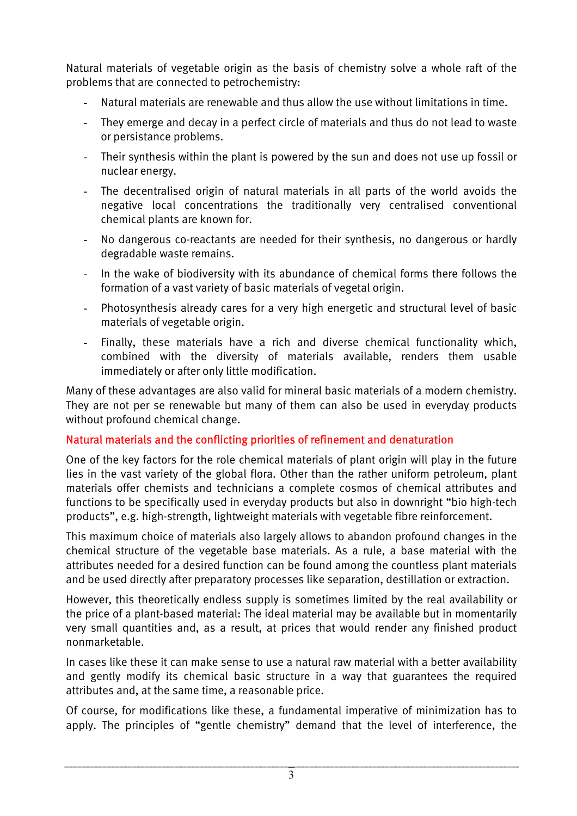Natural materials of vegetable origin as the basis of chemistry solve a whole raft of the problems that are connected to petrochemistry:

- Natural materials are renewable and thus allow the use without limitations in time.
- They emerge and decay in a perfect circle of materials and thus do not lead to waste or persistance problems.
- Their synthesis within the plant is powered by the sun and does not use up fossil or nuclear energy.
- The decentralised origin of natural materials in all parts of the world avoids the negative local concentrations the traditionally very centralised conventional chemical plants are known for.
- No dangerous co-reactants are needed for their synthesis, no dangerous or hardly degradable waste remains.
- In the wake of biodiversity with its abundance of chemical forms there follows the formation of a vast variety of basic materials of vegetal origin.
- Photosynthesis already cares for a very high energetic and structural level of basic materials of vegetable origin.
- Finally, these materials have a rich and diverse chemical functionality which, combined with the diversity of materials available, renders them usable immediately or after only little modification.

Many of these advantages are also valid for mineral basic materials of a modern chemistry. They are not per se renewable but many of them can also be used in everyday products without profound chemical change.

# Natural materials and the conflicting priorities of refinement and denaturation

One of the key factors for the role chemical materials of plant origin will play in the future lies in the vast variety of the global flora. Other than the rather uniform petroleum, plant materials offer chemists and technicians a complete cosmos of chemical attributes and functions to be specifically used in everyday products but also in downright "bio high-tech products", e.g. high-strength, lightweight materials with vegetable fibre reinforcement.

This maximum choice of materials also largely allows to abandon profound changes in the chemical structure of the vegetable base materials. As a rule, a base material with the attributes needed for a desired function can be found among the countless plant materials and be used directly after preparatory processes like separation, destillation or extraction.

However, this theoretically endless supply is sometimes limited by the real availability or the price of a plant-based material: The ideal material may be available but in momentarily very small quantities and, as a result, at prices that would render any finished product nonmarketable.

In cases like these it can make sense to use a natural raw material with a better availability and gently modify its chemical basic structure in a way that guarantees the required attributes and, at the same time, a reasonable price.

Of course, for modifications like these, a fundamental imperative of minimization has to apply. The principles of "gentle chemistry" demand that the level of interference, the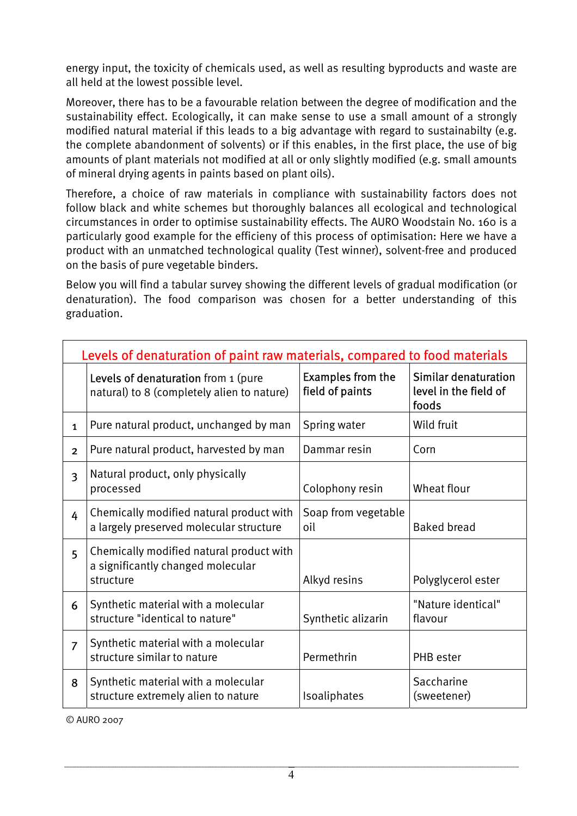energy input, the toxicity of chemicals used, as well as resulting byproducts and waste are all held at the lowest possible level.

Moreover, there has to be a favourable relation between the degree of modification and the sustainability effect. Ecologically, it can make sense to use a small amount of a strongly modified natural material if this leads to a big advantage with regard to sustainabilty (e.g. the complete abandonment of solvents) or if this enables, in the first place, the use of big amounts of plant materials not modified at all or only slightly modified (e.g. small amounts of mineral drying agents in paints based on plant oils).

Therefore, a choice of raw materials in compliance with sustainability factors does not follow black and white schemes but thoroughly balances all ecological and technological circumstances in order to optimise sustainability effects. The AURO Woodstain No. 160 is a particularly good example for the efficieny of this process of optimisation: Here we have a product with an unmatched technological quality (Test winner), solvent-free and produced on the basis of pure vegetable binders.

Below you will find a tabular survey showing the different levels of gradual modification (or denaturation). The food comparison was chosen for a better understanding of this graduation.

| Levels of denaturation of paint raw materials, compared to food materials |                                                                                            |                                             |                                                               |
|---------------------------------------------------------------------------|--------------------------------------------------------------------------------------------|---------------------------------------------|---------------------------------------------------------------|
|                                                                           | Levels of denaturation from 1 (pure<br>natural) to 8 (completely alien to nature)          | <b>Examples from the</b><br>field of paints | <b>Similar denaturation</b><br>level in the field of<br>foods |
| $\mathbf{1}$                                                              | Pure natural product, unchanged by man                                                     | Spring water                                | Wild fruit                                                    |
| $\overline{2}$                                                            | Pure natural product, harvested by man                                                     | Dammar resin                                | Corn                                                          |
| $\overline{\mathbf{3}}$                                                   | Natural product, only physically<br>processed                                              | Colophony resin                             | Wheat flour                                                   |
| 4                                                                         | Chemically modified natural product with<br>a largely preserved molecular structure        | Soap from vegetable<br>oil                  | <b>Baked bread</b>                                            |
| 5                                                                         | Chemically modified natural product with<br>a significantly changed molecular<br>structure | Alkyd resins                                | Polyglycerol ester                                            |
| 6                                                                         | Synthetic material with a molecular<br>structure "identical to nature"                     | Synthetic alizarin                          | "Nature identical"<br>flavour                                 |
| $\overline{7}$                                                            | Synthetic material with a molecular<br>structure similar to nature                         | Permethrin                                  | PHB ester                                                     |
| 8                                                                         | Synthetic material with a molecular<br>structure extremely alien to nature                 | Isoaliphates                                | Saccharine<br>(sweetener)                                     |

© AURO 2007